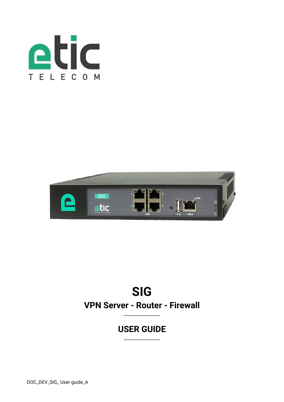



# **SIG VPN Server - Router - Firewall**

\_\_\_\_\_\_\_\_\_\_\_\_\_\_\_\_\_

# **USER GUIDE**

\_\_\_\_\_\_\_\_\_\_\_\_\_\_\_\_\_

DOC\_DEV\_SIG\_ User guide\_A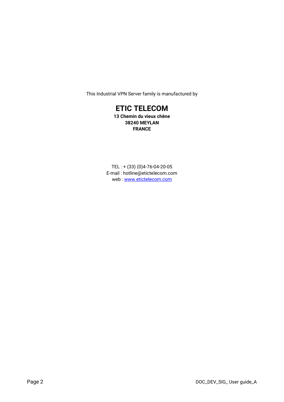This Industrial VPN Server family is manufactured by

# **ETIC TELECOM**

**13 Chemin du vieux chêne 38240 MEYLAN FRANCE**

TEL : + (33) (0)4-76-04-20-05 E-mail : hotline@etictelecom.com web [: www.etictelecom.com](http://www.etictelecom.com/)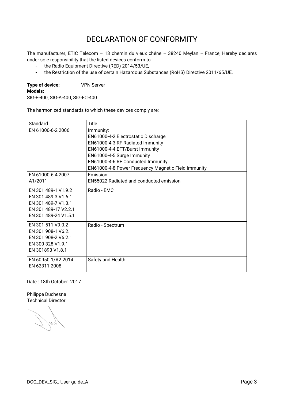# DECLARATION OF CONFORMITY

The manufacturer, ETIC Telecom – 13 chemin du vieux chêne – 38240 Meylan – France, Hereby declares under sole responsibility that the listed devices conform to

- the Radio Equipment Directive (RED) 2014/53/UE,
- the Restriction of the use of certain Hazardous Substances (RoHS) Directive 2011/65/UE.

**Type of device:** VPN Server **Models:** 

SIG-E-400, SIG-A-400, SIG-EC-400

The harmonized standards to which these devices comply are:

| Standard             | Title                                               |
|----------------------|-----------------------------------------------------|
| EN 61000-6-2 2006    | Immunity:                                           |
|                      | EN61000-4-2 Electrostatic Discharge                 |
|                      | EN61000-4-3 RF Radiated Immunity                    |
|                      | EN61000-4-4 EFT/Burst Immunity                      |
|                      | EN61000-4-5 Surge Immunity                          |
|                      | EN61000-4-6 RF Conducted Immunity                   |
|                      | EN61000-4-8 Power Frequency Magnetic Field Immunity |
| EN 61000-6-4 2007    | Emission:                                           |
| A1/2011              | <b>EN55022 Radiated and conducted emission</b>      |
| FN 301 489-1 V1.9.2  | Radio - EMC                                         |
| FN 301 489-3 V1.6.1  |                                                     |
| FN 301 489-7 V1.3.1  |                                                     |
| EN 301 489-17 V2.2.1 |                                                     |
| FN 301 489-24 V1.5.1 |                                                     |
| EN 301 511 V9.0.2    | Radio - Spectrum                                    |
| EN 301 908-1 V6.2.1  |                                                     |
| EN 301 908-2 V6.2.1  |                                                     |
| EN 300 328 V1.9.1    |                                                     |
| EN 301893 V1.8.1     |                                                     |
| EN 60950-1/A2 2014   | Safety and Health                                   |
| EN 62311 2008        |                                                     |

Date : 18th October 2017

Philippe Duchesne Technical Director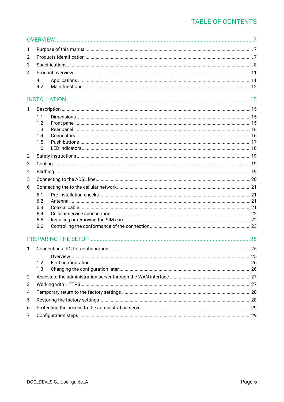| 1              |            |  |  |  |
|----------------|------------|--|--|--|
| 2              |            |  |  |  |
| 3              |            |  |  |  |
| 4              |            |  |  |  |
|                | 4.1        |  |  |  |
|                | 4.2        |  |  |  |
|                |            |  |  |  |
| 1              |            |  |  |  |
|                | 1.1        |  |  |  |
|                | 1.2        |  |  |  |
|                | 1.3        |  |  |  |
|                | 1.4        |  |  |  |
|                | 1.5        |  |  |  |
|                | 1.6        |  |  |  |
| $\overline{2}$ |            |  |  |  |
| 3              |            |  |  |  |
| 4              |            |  |  |  |
| 5              |            |  |  |  |
| 6              |            |  |  |  |
|                | 6.1        |  |  |  |
|                | 6.2        |  |  |  |
|                | 6.3        |  |  |  |
|                | 6.4<br>6.5 |  |  |  |
|                | 6.6        |  |  |  |
|                |            |  |  |  |
|                |            |  |  |  |
| $\mathbf{1}$   |            |  |  |  |
|                | 1.1        |  |  |  |
|                | 1.2        |  |  |  |
|                | 1.3        |  |  |  |
| $\overline{2}$ |            |  |  |  |
| 3              |            |  |  |  |
| 4              |            |  |  |  |
| 5              |            |  |  |  |
| 6              |            |  |  |  |
| 7              |            |  |  |  |
|                |            |  |  |  |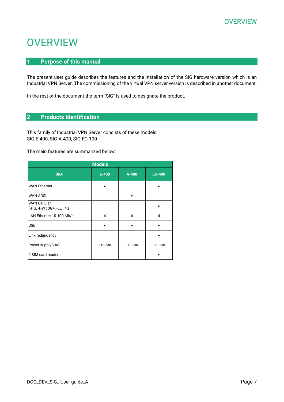# <span id="page-6-1"></span><span id="page-6-0"></span>**1 Purpose of this manual**

The present user guide describes the features and the installation of the SIG hardware version which is an Industrial VPN Server. The commissioning of the virtual VPN server version is described in another document.

In the rest of the document the term "SIG" is used to designate the product.

# <span id="page-6-2"></span>**2 Products Identification**

This family of Industrial VPN Server consists of these models: SIG-E-400, SIG-A-400, SIG-EC-100

The main features are summarized below:

| <b>Models</b>                                     |           |           |               |
|---------------------------------------------------|-----------|-----------|---------------|
| SIG-                                              | $E - 400$ | $A - 400$ | <b>EC-400</b> |
| <b>WAN Ethernet</b>                               |           |           |               |
| <b>WAN ADSL</b>                                   |           |           |               |
| <b>WAN Cellular</b><br>(-HG, -HW : 3G+, -LE : 4G) |           |           |               |
| LAN Ethernet 10-100 Mb/s                          | 4         | 4         | 4             |
| <b>USB</b>                                        |           |           |               |
| Link redundancy                                   |           |           |               |
| Power supply VAC                                  | 110-230   | 110-230   | 110-230       |
| 2 SIM card reader                                 |           |           |               |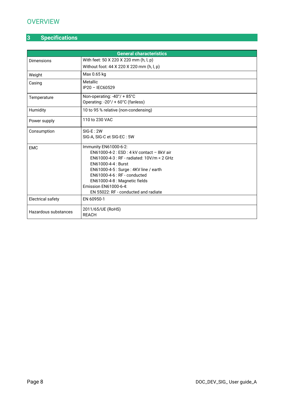# <span id="page-7-0"></span>**3 Specifications**

| <b>General characteristics</b> |                                                        |  |  |  |
|--------------------------------|--------------------------------------------------------|--|--|--|
| <b>Dimensions</b>              | With feet: 50 X 220 X 220 mm (h, l, p)                 |  |  |  |
|                                | Without foot: 44 X 220 X 220 mm (h, l, p)              |  |  |  |
| Weight                         | Max 0.65 kg                                            |  |  |  |
| Casing                         | <b>Metallic</b>                                        |  |  |  |
|                                | IP20 - IEC60529                                        |  |  |  |
| Temperature                    | Non-operating: -40°/ + 85°C                            |  |  |  |
|                                | Operating: -20°/ + 60°C (fanless)                      |  |  |  |
| Humidity                       | 10 to 95 % relative (non-condensing)                   |  |  |  |
| Power supply                   | 110 to 230 VAC                                         |  |  |  |
| Consumption                    | $SIG-E: 2W$                                            |  |  |  |
| SIG-A, SIG-C et SIG-EC: 5W     |                                                        |  |  |  |
| <b>EMC</b>                     | Immunity EN61000-6-2:                                  |  |  |  |
|                                | $EN61000-4-2: ESD: 4 kV contact - 8kV air$             |  |  |  |
|                                | EN61000-4-3 : RF - radiated: 10V/m < 2 GHz             |  |  |  |
|                                | EN61000-4-4 : Burst                                    |  |  |  |
|                                | EN61000-4-5 : Surge : 4KV line / earth                 |  |  |  |
|                                | $EN61000-4-6$ : RF - conducted                         |  |  |  |
|                                | EN61000-4-8 : Magnetic fields<br>Emission EN61000-6-4: |  |  |  |
|                                | EN 55022: RF - conducted and radiate                   |  |  |  |
| <b>Electrical safety</b>       | EN 60950-1                                             |  |  |  |
| Hazardous substances           | 2011/65/UE (RoHS)                                      |  |  |  |
|                                | <b>REACH</b>                                           |  |  |  |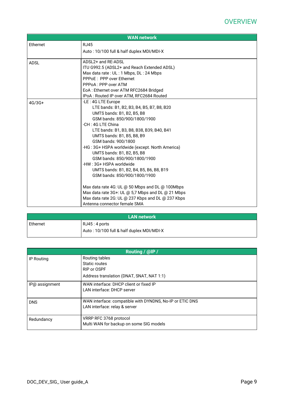|          | <b>WAN network</b>                                |
|----------|---------------------------------------------------|
| Ethernet | <b>RJ45</b>                                       |
|          | Auto: 10/100 full & half duplex MDI/MDI-X         |
| ADSL     | ADSI $2+$ and RF-ADSI                             |
|          | ITU G992.5 (ADSL2+ and Reach Extended ADSL)       |
|          | Max data rate: UL: 1 Mbps, DL: 24 Mbps            |
|          | PPPoE: PPP over Ethernet                          |
|          | PPPoA: PPP over ATM                               |
|          | EoA : Ethernet over ATM RFC2684 Bridged           |
|          | IPoA: Routed IP over ATM, RFC2684 Routed          |
| $4G/3G+$ | -LE: 4G LTE Europe                                |
|          | LTE bands: B1, B2, B3, B4, B5, B7, B8, B20        |
|          | UMTS bands: B1, B2, B5, B8                        |
|          | GSM bands: 850/900/1800/1900                      |
|          | -CH : 4G LTE China                                |
|          | LTE bands: B1, B3, B8, B38, B39, B40, B41         |
|          | UMTS bands: B1, B5, B8, B9                        |
|          | GSM bands: 900/1800                               |
|          | -HG: 3G+ HSPA worldwide (except. North America)   |
|          | UMTS bands: B1, B2, B5, B8                        |
|          | GSM bands: 850/900/1800/1900                      |
|          | -HW : 3G+ HSPA worldwide                          |
|          | UMTS bands: B1, B2, B4, B5, B6, B8, B19           |
|          | GSM bands: 850/900/1800/1900                      |
|          | Max data rate 4G: UL @ 50 Mbps and DL @ 100Mbps   |
|          | Max data rate 3G+: UL @ 5,7 Mbps and DL @ 21 Mbps |
|          | Max data rate 2G: UL @ 237 Kbps and DL @ 237 Kbps |
|          | Antenna connector female SMA                      |

| <b>LAN network</b>                        |                |  |
|-------------------------------------------|----------------|--|
| Ethernet                                  | RJ45 : 4 ports |  |
| Auto: 10/100 full & half duplex MDI/MDI-X |                |  |

| Routing / @IP / |                                                          |  |
|-----------------|----------------------------------------------------------|--|
| IP Routing      | Routing tables                                           |  |
|                 | Static routes                                            |  |
|                 | RIP or OSPF                                              |  |
|                 | Address translation (DNAT, SNAT, NAT 1:1)                |  |
| IP@ assignment  | WAN interface: DHCP client or fixed IP                   |  |
|                 | LAN interface: DHCP server                               |  |
| <b>DNS</b>      | WAN interface: compatible with DYNDNS, No-IP or ETIC DNS |  |
|                 | LAN interface: relay & server                            |  |
| Redundancy      | VRRP RFC 3768 protocol                                   |  |
|                 | Multi WAN for backup on some SIG models                  |  |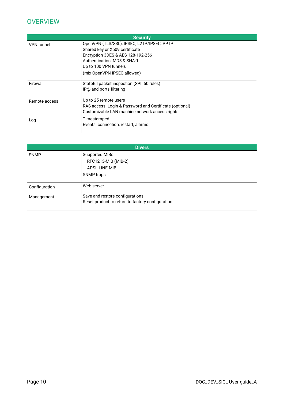|                   | <b>Security</b>                                         |
|-------------------|---------------------------------------------------------|
| <b>VPN</b> tunnel | OpenVPN (TLS/SSL), IPSEC, L2TP/IPSEC, PPTP              |
|                   | Shared key or X509 certificate                          |
|                   | Encryption 3DES & AES 128-192-256                       |
|                   | Authentication: MD5 & SHA-1                             |
|                   | Up to 100 VPN tunnels                                   |
|                   | (mix OpenVPN IPSEC allowed)                             |
| Firewall          | Stafeful packet inspection (SPI: 50 rules)              |
|                   | IP@ and ports filtering                                 |
| Remote access     | Up to 25 remote users                                   |
|                   | RAS access: Login & Password and Certificate (optional) |
|                   | Customizable LAN machine network access rights          |
| Log               | Timestamped                                             |
|                   | Events: connection, restart, alarms                     |
|                   |                                                         |

| <b>Divers</b> |                                                                                     |  |
|---------------|-------------------------------------------------------------------------------------|--|
| <b>SNMP</b>   | Supported MIBs:<br>RFC1213-MIB (MIB-2)                                              |  |
|               | ADSL-LINE-MIB                                                                       |  |
|               | SNMP traps                                                                          |  |
| Configuration | Web server                                                                          |  |
| Management    | Save and restore configurations<br>Reset product to return to factory configuration |  |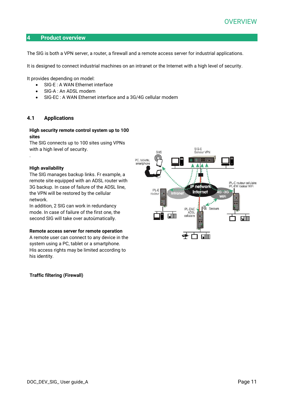## <span id="page-10-0"></span>**4 Product overview**

The SIG is both a VPN server, a router, a firewall and a remote access server for industrial applications.

It is designed to connect industrial machines on an intranet or the Internet with a high level of security.

It provides depending on model:

- SIG-E : A WAN Ethernet interface
- SIG-A: An ADSL modem
- SIG-EC : A WAN Ethernet interface and a 3G/4G cellular modem

# <span id="page-10-1"></span>**4.1 Applications**

## **High security remote control system up to 100 sites**

The SIG connects up to 100 sites using VPNs with a high level of security.

## **High availability**

.

The SIG manages backup links. Fr example, a remote site equipped with an ADSL router with 3G backup. In case of failure of the ADSL line, the VPN will be restored by the cellular network.

In addition, 2 SIG can work in redundancy mode. In case of failure of the first one, the second SIG will take over autoùmatically.

#### **Remote access server for remote operation**

A remote user can connect to any device in the system using a PC, tablet or a smartphone. His access rights may be limited according to his identity.

## **Traffic filtering (Firewall)**

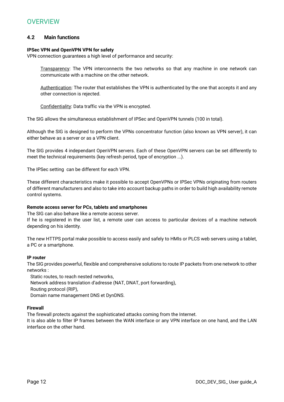# <span id="page-11-0"></span>**4.2 Main functions**

# **IPSec VPN and OpenVPN VPN for safety**

VPN connection guarantees a high level of performance and security:

Transparency: The VPN interconnects the two networks so that any machine in one network can communicate with a machine on the other network.

Authentication: The router that establishes the VPN is authenticated by the one that accepts it and any other connection is rejected.

Confidentiality: Data traffic via the VPN is encrypted.

The SIG allows the simultaneous establishment of IPSec and OpenVPN tunnels (100 in total).

Although the SIG is designed to perform the VPNs concentrator function (also known as VPN server), it can either behave as a server or as a VPN client.

The SIG provides 4 independant OpenVPN servers. Each of these OpenVPN servers can be set differently to meet the technical requirements (key refresh period, type of encryption ...).

The IPSec setting can be different for each VPN.

These different characteristics make it possible to accept OpenVPNs or IPSec VPNs originating from routers of different manufacturers and also to take into account backup paths in order to build high availability remote control systems.

# **Remote access server for PCs, tablets and smartphones**

The SIG can also behave like a remote access server.

If he is registered in the user list, a remote user can access to particular devices of a machine network depending on his identity.

The new HTTPS portal make possible to access easily and safely to HMIs or PLCS web servers using a tablet, a PC or a smartphone.

## **IP router**

The SIG provides powerful, flexible and comprehensive solutions to route IP packets from one network to other networks :

Static routes, to reach nested networks,

Network address translation d'adresse (NAT, DNAT, port forwarding),

Routing protocol (RIP),

Domain name management DNS et DynDNS.

## **Firewall**

The firewall protects against the sophisticated attacks coming from the Internet.

It is also able to filter IP frames between the WAN interface or any VPN interface on one hand, and the LAN interface on the other hand.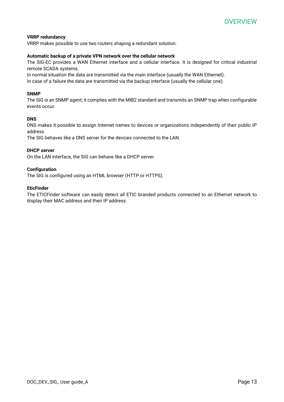# **VRRP redundancy**

VRRP makes possible to use two routers shaping a redundant solution.

## **Automatic backup of a private VPN network over the cellular network**

The SIG-EC provides a WAN Ethernet interface and a cellular interface. It is designed for critical industrial remote SCADA systems.

In normal situation the data are transmitted via the main interface (usually the WAN Ethernet).

In case of a failure the data are transmitted via the backup interface (usually the cellular one).

## **SNMP**

The SIG is an SNMP agent; it complies with the MIB2 standard and transmits an SNMP trap when configurable events occur.

## **DNS**

DNS makes it possible to assign Internet names to devices or organizations independently of their public IP address.

The SIG behaves like a DNS server for the devices connected to the LAN.

## **DHCP server**

On the LAN interface, the SIG can behave like a DHCP server.

## **Configuration**

The SIG is configured using an HTML browser (HTTP or HTTPS).

## **EticFinder**

The ETICFinder software can easily detect all ETIC branded products connected to an Ethernet network to display their MAC address and their IP address.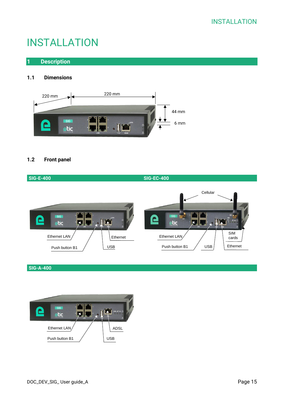

# <span id="page-14-1"></span><span id="page-14-0"></span>**1 Description**

# <span id="page-14-2"></span>**1.1 Dimensions**



# <span id="page-14-3"></span>**1.2 Front panel**

| <b>SIG-E-400</b>                                                                                                 | <b>SIG-EC-400</b>                                                                                                                                                                                     |
|------------------------------------------------------------------------------------------------------------------|-------------------------------------------------------------------------------------------------------------------------------------------------------------------------------------------------------|
| <b>SIG</b><br>$\mathbf \Xi$<br>etic<br>$\frac{1}{2}$<br>Ethernet LAN<br>Ethernet<br><b>USB</b><br>Push button B1 | Cellular<br><b>SIG</b><br>$\boldsymbol{\mathsf \Xi}$<br>$d$ cet $\circlearrowright$<br>etic<br>LAN<br><b>SIM</b><br>Ethernet LAN<br>cards<br>Ethernet<br>Push button B1<br><b>USB</b><br>. . <i>.</i> |

**SIG-A-400**

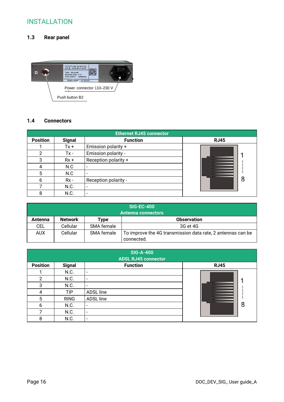# <span id="page-15-0"></span>**1.3 Rear panel**



# <span id="page-15-1"></span>**1.4 Connectors**

| <b>Ethernet RJ45 connector</b> |               |                      |             |
|--------------------------------|---------------|----------------------|-------------|
| <b>Position</b>                | <b>Signal</b> | <b>Function</b>      | <b>RJ45</b> |
|                                | $Tx +$        | Emission polarity +  |             |
| 2                              | $Tx -$        | Emission polarity -  |             |
| 3                              | $Rx +$        | Reception polarity + |             |
| 4                              | N.C           |                      |             |
| 5                              | N.C           |                      |             |
| 6                              | $Rx -$        | Reception polarity - | 8           |
|                                | N.C.          |                      |             |
| 8                              | N.C.          |                      |             |

| <b>SIG-EC-400</b>         |                |            |                                                                           |
|---------------------------|----------------|------------|---------------------------------------------------------------------------|
| <b>Antenna connectors</b> |                |            |                                                                           |
| Antenna                   | <b>Network</b> | Type       | <b>Observation</b>                                                        |
| CEL                       | Cellular       | SMA female | 3G et 4G                                                                  |
| <b>AUX</b>                | Cellular       | SMA female | To improve the 4G transmission data rate, 2 antennas can be<br>connected. |

|                 |               | <b>SIG-A-400</b><br><b>ADSL RJ45 connector</b> |             |
|-----------------|---------------|------------------------------------------------|-------------|
| <b>Position</b> | <b>Signal</b> | <b>Function</b>                                | <b>RJ45</b> |
|                 | N.C.          | -                                              |             |
| 2               | N.C.          | $\overline{\phantom{a}}$                       |             |
| 3               | N.C.          | $\overline{\phantom{a}}$                       |             |
| 4               | <b>TIP</b>    | ADSL line                                      |             |
| 5               | <b>RING</b>   | ADSL line                                      |             |
| 6               | N.C.          | $\qquad \qquad \blacksquare$                   | 8           |
| ⇁               | N.C.          | -                                              |             |
| 8               | N.C.          | $\overline{\phantom{a}}$                       |             |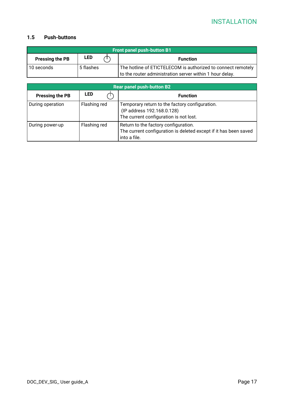# <span id="page-16-0"></span>**1.5 Push-buttons**

|                        | <b>Front panel push-button B1</b> |  |                                                              |
|------------------------|-----------------------------------|--|--------------------------------------------------------------|
| <b>Pressing the PB</b> | LED                               |  | <b>Function</b>                                              |
| 10 seconds             | 5 flashes                         |  | The hotline of ETICTELECOM is authorized to connect remotely |
|                        |                                   |  | to the router administration server within 1 hour delay.     |

|                        |              | <b>Rear panel push-button B2</b>                                                                                         |
|------------------------|--------------|--------------------------------------------------------------------------------------------------------------------------|
| <b>Pressing the PB</b> | <b>LED</b>   | <b>Function</b>                                                                                                          |
| During operation       | Flashing red | Temporary return to the factory configuration.<br>(IP address 192.168.0.128)<br>The current configuration is not lost.   |
| During power-up        | Flashing red | Return to the factory configuration.<br>The current configuration is deleted except if it has been saved<br>into a file. |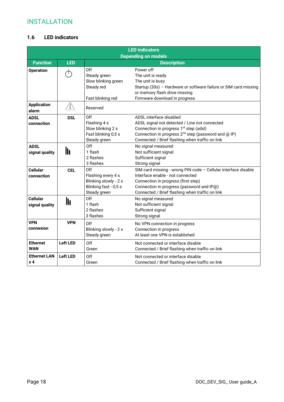# <span id="page-17-0"></span>**1.6 LED indicators**

|                             |                 |                                     | <b>LED indicators</b>                                            |
|-----------------------------|-----------------|-------------------------------------|------------------------------------------------------------------|
|                             |                 |                                     | <b>Depending on models</b>                                       |
| <b>Function</b>             | <b>LED</b>      |                                     | <b>Description</b>                                               |
| <b>Operation</b>            | ←               | Off                                 | Power off                                                        |
|                             |                 | Steady green<br>Slow blinking green | The unit is ready<br>The unit is busy                            |
|                             |                 | Steady red                          | Startup (30s) - Hardware or software failure or SIM card missing |
|                             |                 |                                     | or memory flash drive missing                                    |
|                             |                 | Fast blinking red                   | Firmware download in progress                                    |
| <b>Application</b><br>alarm | . Î /           | Reserved                            |                                                                  |
| <b>ADSL</b>                 | <b>DSL</b>      | Off                                 | ADSL interface disabled                                          |
| connection                  |                 | Flashing 4 s                        | ADSL signal not detected / Line not connected                    |
|                             |                 | Slow blinking 2 s                   | Connection in progress 1 <sup>st</sup> step (adsl)               |
|                             |                 | Fast blinking 0,5 s                 | Connection in progress 2 <sup>nd</sup> step (password and @ IP)  |
|                             |                 | Steady green                        | Connected / Brief flashing when traffic on link                  |
| <b>ADSL</b>                 |                 | Off                                 | No signal measured                                               |
| signal quality              | lı              | 1 flash                             | Not sufficient signal                                            |
|                             |                 | 2 flashes                           | Sufficient signal                                                |
|                             |                 | 3 flashes                           | Strong signal                                                    |
| <b>Cellular</b>             | <b>CEL</b>      | Off                                 | SIM card missing - wrong PIN code - Cellular interface disable   |
| connection                  |                 | Flashing every 4 s                  | Interface enable - not connected                                 |
|                             |                 | Blinking slowly - 2 s               | Connection in progress (first step)                              |
|                             |                 | Blinking fast - 0,5 s               | Connection in progress (password and IP@)                        |
|                             |                 | Steady green                        | Connected / Brief flashing when traffic on link                  |
| <b>Cellular</b>             | lı              | Off                                 | No signal measured                                               |
| signal quality              |                 | 1 flash                             | Not sufficient signal                                            |
|                             |                 | 2 flashes                           | Sufficient signal                                                |
|                             |                 | 3 flashes                           | Strong signal                                                    |
| <b>VPN</b>                  | <b>VPN</b>      | Off.                                | No VPN connection in progress                                    |
| connexion                   |                 | Blinking slowly - 2 s               | Connection in progress                                           |
|                             |                 | Steady green                        | At least one VPN is established                                  |
| <b>Ethernet</b>             | <b>Left LED</b> | Off                                 | Not connected or interface disable                               |
| <b>WAN</b>                  |                 | Green                               | Connected / Brief flashing when traffic on link                  |
| <b>Ethernet LAN</b>         | <b>Left LED</b> | Off                                 | Not connected or interface disable                               |
| x <sub>4</sub>              |                 | Green                               | Connected / Brief flashing when traffic on link                  |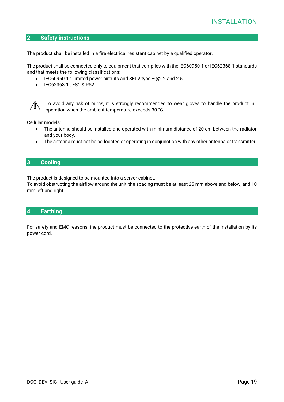# <span id="page-18-0"></span>**2 Safety instructions**

The product shall be installed in a fire electrical resistant cabinet by a qualified operator.

The product shall be connected only to equipment that complies with the IEC60950-1 or IEC62368-1 standards and that meets the following classifications:

- IEC60950-1 : Limited power circuits and SELV type §2.2 and 2.5
- IEC62368-1 : ES1 & PS2



To avoid any risk of burns, it is strongly recommended to wear gloves to handle the product in operation when the ambient temperature exceeds 30 °C.

Cellular models:

- The antenna should be installed and operated with minimum distance of 20 cm between the radiator and your body.
- The antenna must not be co-located or operating in conjunction with any other antenna or transmitter.

# <span id="page-18-1"></span>**3 Cooling**

The product is designed to be mounted into a server cabinet.

To avoid obstructing the airflow around the unit, the spacing must be at least 25 mm above and below, and 10 mm left and right.

# <span id="page-18-2"></span>**4 Earthing**

For safety and EMC reasons, the product must be connected to the protective earth of the installation by its power cord.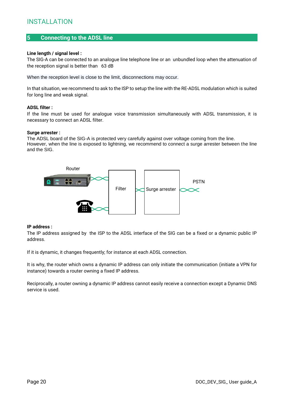# <span id="page-19-0"></span>**5 Connecting to the ADSL line**

#### **Line length / signal level :**

The SIG-A can be connected to an analogue line telephone line or an unbundled loop when the attenuation of the reception signal is better than 63 dB

When the reception level is close to the limit, disconnections may occur.

In that situation, we recommend to ask to the ISP to setup the line with the RE-ADSL modulation which is suited for long line and weak signal.

#### **ADSL filter :**

If the line must be used for analogue voice transmission simultaneously with ADSL transmission, it is necessary to connect an ADSL filter.

#### **Surge arrester :**

The ADSL board of the SIG-A is protected very carefully against over voltage coming from the line. However, when the line is exposed to lightning, we recommend to connect a surge arrester between the line and the SIG.



#### **IP address :**

The IP address assigned by the ISP to the ADSL interface of the SIG can be a fixed or a dynamic public IP address.

If it is dynamic, it changes frequently; for instance at each ADSL connection.

It is why, the router which owns a dynamic IP address can only initiate the communication (initiate a VPN for instance) towards a router owning a fixed IP address.

Reciprocally, a router owning a dynamic IP address cannot easily receive a connection except a Dynamic DNS service is used.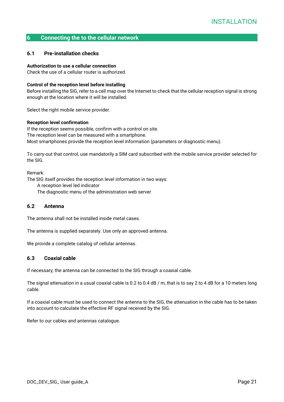# <span id="page-20-0"></span>**6 Connecting the to the cellular network**

## <span id="page-20-1"></span>**6.1 Pre-installation checks**

#### **Authorization to use a cellular connection**

Check the use of a cellular router is authorized.

#### **Control of the reception level before installing**

Before installing the SIG, refer to a cell map over the Internet to check that the cellular reception signal is strong enough at the location where it will be installed.

Select the right mobile service provider.

## **Reception level confirmation**

If the reception seems possible, confirm with a control on site. The reception level can be measured with a smartphone. Most smartphones provide the reception level information (parameters or diagnostic menu).

To carry-out that control, use mandatorily a SIM card subscribed with the mobile service provider selected for the SIG.

Remark:

The SIG itself provides the reception level information in two ways:

A reception level led indicator

The diagnostic menu of the administration web server

# <span id="page-20-2"></span>**6.2 Antenna**

The antenna shall not be installed inside metal cases.

The antenna is supplied separately. Use only an approved antenna.

We provide a complete catalog of cellular antennas.

## <span id="page-20-3"></span>**6.3 Coaxial cable**

If necessary, the antenna can be connected to the SIG through a coaxial cable.

The signal attenuation in a usual coaxial cable is 0.2 to 0.4 dB / m, that is to say 2 to 4 dB for a 10 meters long cable.

If a coaxial cable must be used to connect the antenna to the SIG, the attenuation in the cable has to be taken into account to calculate the effective RF signal received by the SIG.

Refer to our cables and antennas catalogue.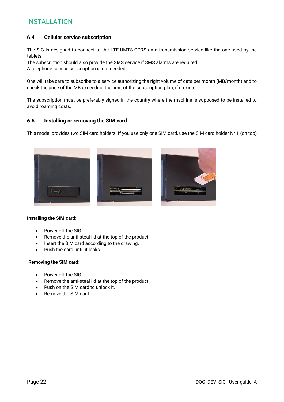# <span id="page-21-0"></span>**6.4 Cellular service subscription**

The SIG is designed to connect to the LTE-UMTS-GPRS data transmission service like the one used by the tablets.

The subscription should also provide the SMS service if SMS alarms are required. A telephone service subscription is not needed.

One will take care to subscribe to a service authorizing the right volume of data per month (MB/month) and to check the price of the MB exceeding the limit of the subscription plan, if it exists.

The subscription must be preferably signed in the country where the machine is supposed to be installed to avoid roaming costs.

# <span id="page-21-1"></span>**6.5 Installing or removing the SIM card**

This model provides two SIM card holders. If you use only one SIM card, use the SIM card holder Nr 1 (on top)



#### **Installing the SIM card:**

- Power off the SIG.
- Remove the anti-steal lid at the top of the product
- Insert the SIM card according to the drawing.
- Push the card until it locks

#### **Removing the SIM card:**

- Power off the SIG.
- Remove the anti-steal lid at the top of the product.
- Push on the SIM card to unlock it.
- Remove the SIM card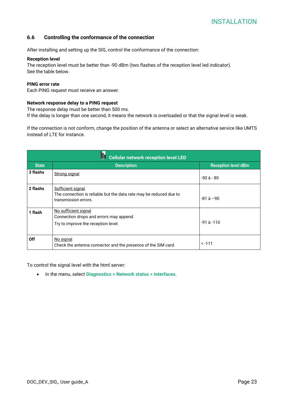# <span id="page-22-0"></span>**6.6 Controlling the conformance of the connection**

After installing and setting up the SIG, control the conformance of the connection:

#### **Reception level**

The reception level must be better than -90 dBm (two flashes of the reception level led indicator). See the table below.

#### **PING error rate**

Each PING request must receive an answer.

#### **Network response delay to a PING request**

The response delay must be better than 500 ms.

If the delay is longer than one second, it means the network is overloaded or that the signal level is weak.

If the connection is not conform, change the position of the antenna or select an alternative service like UMTS instead of LTE for instance.

|              | ⊪<br><b>Cellular network reception level LED</b>                                                                       |                            |
|--------------|------------------------------------------------------------------------------------------------------------------------|----------------------------|
| <b>State</b> | <b>Description</b>                                                                                                     | <b>Reception level dBm</b> |
| 3 flashs     | <b>Strong signal</b>                                                                                                   | -50 à - 80                 |
| 2 flashs     | <b>Sufficient signal</b><br>The connection is reliable but the data rate may be reduced due to<br>transmission errors. | $-81$ à $-90$              |
| 1 flash      | No sufficient signal<br>Connection drops and errors may append.<br>Try to improve the reception level.                 | $-91$ à $-110$             |
| Off          | No signal<br>Check the antenna connector and the presence of the SIM card.                                             | $< -111$                   |

To control the signal level with the html server:

• In the menu, select **Diagnostics > Network status > Interfaces**.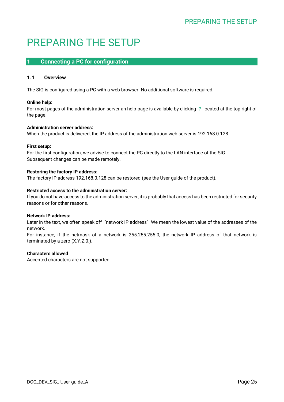# <span id="page-24-0"></span>PREPARING THE SETUP

# <span id="page-24-1"></span>**1 Connecting a PC for configuration**

# <span id="page-24-2"></span>**1.1 Overview**

The SIG is configured using a PC with a web browser. No additional software is required.

# **Online help:**

For most pages of the administration server an help page is available by clicking **?** located at the top right of the page.

# **Administration server address:**

When the product is delivered, the IP address of the administration web server is 192.168.0.128.

# **First setup:**

For the first configuration, we advise to connect the PC directly to the LAN interface of the SIG. Subsequent changes can be made remotely.

# **Restoring the factory IP address:**

The factory IP address 192.168.0.128 can be restored (see the User guide of the product).

# **Restricted access to the administration server:**

If you do not have access to the administration server, it is probably that access has been restricted for security reasons or for other reasons.

## **Network IP address:**

Later in the text, we often speak off "network IP address". We mean the lowest value of the addresses of the network.

For instance, if the netmask of a network is 255.255.255.0, the network IP address of that network is terminated by a zero (X.Y.Z.0.).

# **Characters allowed**

Accented characters are not supported.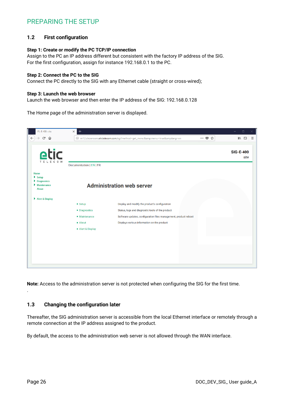# PREPARING THE SETUP

# <span id="page-25-0"></span>**1.2 First configuration**

#### **Step 1: Create or modify the PC TCP/IP connection**

Assign to the PC an IP address different but consistent with the factory IP address of the SIG. For the first configuration, assign for instance 192.168.0.1 to the PC.

#### **Step 2: Connect the PC to the SIG**

Connect the PC directly to the SIG with any Ethernet cable (straight or cross-wired);

#### **Step 3: Launch the web browser**

Launch the web browser and then enter the IP address of the SIG: 192.168.0.128

The Home page of the administration server is displayed.



**Note:** Access to the administration server is not protected when configuring the SIG for the first time.

## <span id="page-25-1"></span>**1.3 Changing the configuration later**

Thereafter, the SIG administration server is accessible from the local Ethernet interface or remotely through a remote connection at the IP address assigned to the product.

By default, the access to the administration web server is not allowed through the WAN interface.

.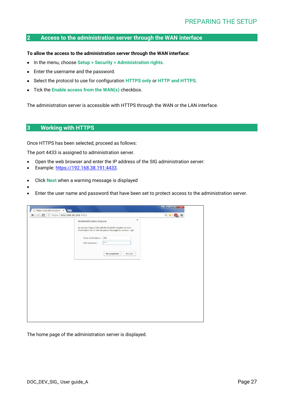# <span id="page-26-0"></span>**2 Access to the administration server through the WAN interface**

#### **To allow the access to the administration server through the WAN interface:**

- In the menu, choose **Setup > Security > Administration rights**.
- Enter the username and the password.
- Select the protocol to use for configuration **HTTPS only** or **HTTP and HTTPS**.
- Tick the **Enable access from the WAN(s)** checkbox.

The administration server is accessible with HTTPS through the WAN or the LAN interface.

# <span id="page-26-1"></span>**3 Working with HTTPS**

•

Once HTTPS has been selected, proceed as follows:

The port 4433 is assigned to administration server.

- Open the web browser and enter the IP address of the SIG administration server:
- Example: [https://192.168.38.191:4433.](https://192.168.38.191:4433/)
- Click **Next** when a warning message is displayed
- Enter the user name and password that have been set to protect access to the administration server.

| $\times$<br>Authentification requise<br>Le serveur https://192.168.38.191:4433 requiert un nom<br>d'utilisateur et un mot de passe. Message du serveur : cgi.<br>Nom d'utilisateur : etic<br><b>KNRK</b><br>Mot de passe :<br>Se connecter<br>Annuler | $\Rightarrow$ <b>C</b> $\Box$ https://192.168.38.191:4433 | $Q + Q$<br>$\equiv$ |
|-------------------------------------------------------------------------------------------------------------------------------------------------------------------------------------------------------------------------------------------------------|-----------------------------------------------------------|---------------------|
|                                                                                                                                                                                                                                                       |                                                           |                     |
|                                                                                                                                                                                                                                                       |                                                           |                     |
|                                                                                                                                                                                                                                                       |                                                           |                     |
|                                                                                                                                                                                                                                                       |                                                           |                     |
|                                                                                                                                                                                                                                                       |                                                           |                     |
|                                                                                                                                                                                                                                                       |                                                           |                     |
|                                                                                                                                                                                                                                                       |                                                           |                     |
|                                                                                                                                                                                                                                                       |                                                           |                     |
|                                                                                                                                                                                                                                                       |                                                           |                     |
|                                                                                                                                                                                                                                                       |                                                           |                     |
|                                                                                                                                                                                                                                                       |                                                           |                     |
|                                                                                                                                                                                                                                                       |                                                           |                     |
|                                                                                                                                                                                                                                                       |                                                           |                     |
|                                                                                                                                                                                                                                                       |                                                           |                     |
|                                                                                                                                                                                                                                                       |                                                           |                     |
|                                                                                                                                                                                                                                                       |                                                           |                     |
|                                                                                                                                                                                                                                                       |                                                           |                     |
|                                                                                                                                                                                                                                                       |                                                           |                     |
|                                                                                                                                                                                                                                                       |                                                           |                     |

The home page of the administration server is displayed.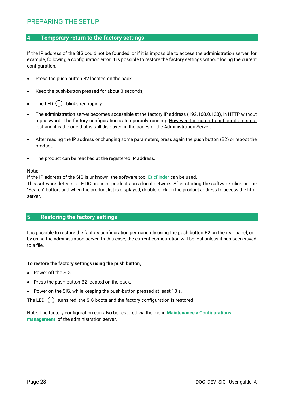# <span id="page-27-0"></span>**4 Temporary return to the factory settings**

If the IP address of the SIG could not be founded, or if it is impossible to access the administration server, for example, following a configuration error, it is possible to restore the factory settings without losing the current configuration.

- Press the push-button B2 located on the back.
- Keep the push-button pressed for about 3 seconds;
- The LED  $\bigcirc$  blinks red rapidly
- The administration server becomes accessible at the factory IP address (192.168.0.128), in HTTP without a password. The factory configuration is temporarily running. However, the current configuration is not lost and it is the one that is still displayed in the pages of the Administration Server.
- After reading the IP address or changing some parameters, press again the push button (B2) or reboot the product.
- The product can be reached at the registered IP address.

Note:

If the IP address of the SIG is unknown, the software tool EticFinder can be used.

This software detects all ETIC branded products on a local network. After starting the software, click on the "Search" button, and when the product list is displayed, double-click on the product address to access the html server.

# <span id="page-27-1"></span>**5 Restoring the factory settings**

It is possible to restore the factory configuration permanently using the push button B2 on the rear panel, or by using the administration server. In this case, the current configuration will be lost unless it has been saved to a file.

## **To restore the factory settings using the push button,**

- Power off the SIG,
- Press the push-button B2 located on the back.
- Power on the SIG, while keeping the push-button pressed at least 10 s.

The LED  $\Box$  turns red; the SIG boots and the factory configuration is restored.

Note: The factory configuration can also be restored via the menu **Maintenance > Configurations management** of the administration server.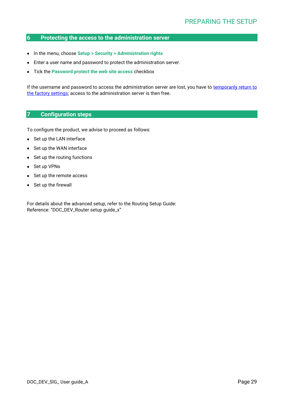# <span id="page-28-0"></span>**6 Protecting the access to the administration server**

- In the menu, choose **Setup > Security > Administration rights**
- Enter a user name and password to protect the administration server.
- Tick the **Password protect the web site access** checkbox

If the username and password to access the administration server are lost, you have to temporarily return to the factory settings; access to the administration server is then free.

# <span id="page-28-1"></span>**7 Configuration steps**

To configure the product, we advise to proceed as follows:

- Set up the LAN interface
- Set up the WAN interface
- Set up the routing functions
- Set up VPNs
- Set up the remote access
- Set up the firewall

For details about the advanced setup, refer to the Routing Setup Guide: Reference: "DOC\_DEV\_Router setup guide\_x"